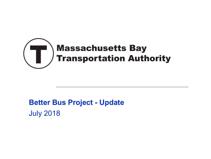

### **Better Bus Project - Update** July 2018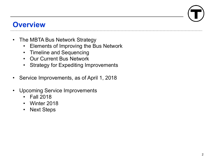#### **Overview**

- The MBTA Bus Network Strategy
	- Elements of Improving the Bus Network
	- Timeline and Sequencing
	- Our Current Bus Network
	- Strategy for Expediting Improvements
- Service Improvements, as of April 1, 2018
- Upcoming Service Improvements
	- Fall 2018
	- Winter 2018
	- Next Steps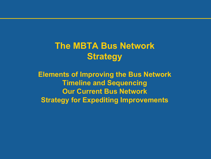**The MBTA Bus Network Strategy**

**Elements of Improving the Bus Network Timeline and Sequencing Our Current Bus Network Strategy for Expediting Improvements**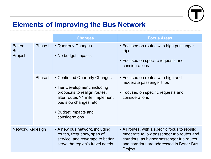

#### **Elements of Improving the Bus Network**

|                                        |          | <b>Changes</b>                                                                                                                                                                                        | <b>Focus Areas</b>                                                                                                                                                                                |
|----------------------------------------|----------|-------------------------------------------------------------------------------------------------------------------------------------------------------------------------------------------------------|---------------------------------------------------------------------------------------------------------------------------------------------------------------------------------------------------|
| <b>Better</b><br><b>Bus</b><br>Project | Phase I  | • Quarterly Changes<br>• No budget impacts                                                                                                                                                            | • Focused on routes with high passenger<br>trips<br>• Focused on specific requests and<br>considerations                                                                                          |
|                                        | Phase II | • Continued Quarterly Changes<br>• Tier Development, including<br>proposals to realign routes,<br>alter routes >1 mile, implement<br>bus stop changes, etc.<br>• Budget impacts and<br>considerations | • Focused on routes with high and<br>moderate passenger trips<br>• Focused on specific requests and<br>considerations                                                                             |
| <b>Network Redesign</b>                |          | • A new bus network, including<br>routes, frequency, span of<br>service, and coverage to better<br>serve the region's travel needs.                                                                   | • All routes, with a specific focus to rebuild<br>moderate to low passenger trip routes and<br>corridors, as higher passenger trip routes<br>and corridors are addressed in Better Bus<br>Project |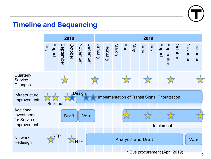

#### **Timeline and Sequencing**

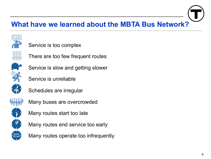#### **What have we learned about the MBTA Bus Network?**



- Service is too complex
- There are too few frequent routes
- Service is slow and getting slower
	- Service is unreliable
	- Schedules are irregular



- Many buses are overcrowded
- Many routes start too late
- Many routes end service too early
- Many routes operate too infrequently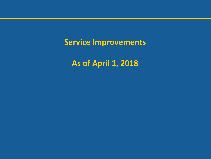**Service Improvements**

**As of April 1, 2018**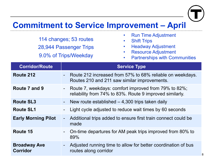

#### **Commitment to Service Improvement – April**

114 changes; 53 routes 28,944 Passenger Trips 9.0% of Trips/Weekday

- Run Time Adjustment
- **Shift Trips**
- Headway Adjustment
- Resource Adjustment
- Partnerships with Communities

| <b>Corridor/Route</b>                  | <b>Service Type</b>                                                                                                |
|----------------------------------------|--------------------------------------------------------------------------------------------------------------------|
| Route 212                              | - Route 212 increased from 57% to 68% reliable on weekdays.<br>Routes 210 and 211 saw similar improvements.        |
| Route 7 and 9                          | - Route 7, weekdays: comfort improved from 79% to 82%;<br>reliability from 74% to 83%. Route 9 improved similarly. |
| <b>Route SL3</b>                       | - New route established $-4,300$ trips taken daily                                                                 |
| <b>Route SL1</b>                       | Light cycle adjusted to reduce wait times by 60 seconds                                                            |
| <b>Early Morning Pilot</b>             | Additional trips added to ensure first train connect could be<br>made                                              |
| Route 15                               | On-time departures for AM peak trips improved from 80% to<br>89%                                                   |
| <b>Broadway Ave</b><br><b>Corridor</b> | Adjusted running time to allow for better coordination of bus<br>routes along corridor                             |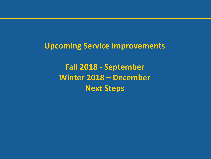**Upcoming Service Improvements**

**Fall 2018 - September Winter 2018 – December Next Steps**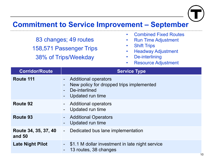

#### **Commitment to Service Improvement – September**

83 changes; 49 routes 158,571 Passenger Trips 38% of Trips/Weekday

- Combined Fixed Routes
- Run Time Adjustment
- Shift Trips
- Headway Adjustment
- De-interlining
- Resource Adjustment

| <b>Corridor/Route</b>          | <b>Service Type</b>                                                                                                                                                              |
|--------------------------------|----------------------------------------------------------------------------------------------------------------------------------------------------------------------------------|
| Route 111                      | <b>Additional operators</b><br>$\blacksquare$<br>New policy for dropped trips implemented<br>$\qquad \qquad \blacksquare$<br>De-interlined<br>Updated run time<br>$\blacksquare$ |
| Route 92                       | <b>Additional operators</b><br>$\blacksquare$<br>Updated run time                                                                                                                |
| <b>Route 93</b>                | <b>Additional Operators</b><br>$\blacksquare$<br>Updated run time                                                                                                                |
| Route 34, 35, 37, 40<br>and 50 | Dedicated bus lane implementation<br>$\frac{1}{2}$                                                                                                                               |
| <b>Late Night Pilot</b>        | \$1.1 M dollar investment in late night service<br>$\sim 100$<br>13 routes, 38 changes                                                                                           |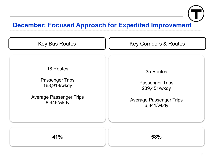

#### **December: Focused Approach for Expedited Improvement**

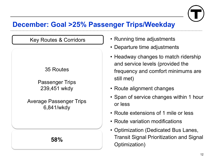

#### **December: Goal >25% Passenger Trips/Weekday**

# Key Routes & Corridors 35 Routes Passenger Trips 239,451 wkdy Average Passenger Trips 6,841/wkdy

**58%**

- Running time adjustments
- Departure time adjustments
- Headway changes to match ridership and service levels (provided the frequency and comfort minimums are still met)
- Route alignment changes
- Span of service changes within 1 hour or less
- Route extensions of 1 mile or less
- Route variation modifications
- Optimization (Dedicated Bus Lanes, Transit Signal Prioritization and Signal Optimization)